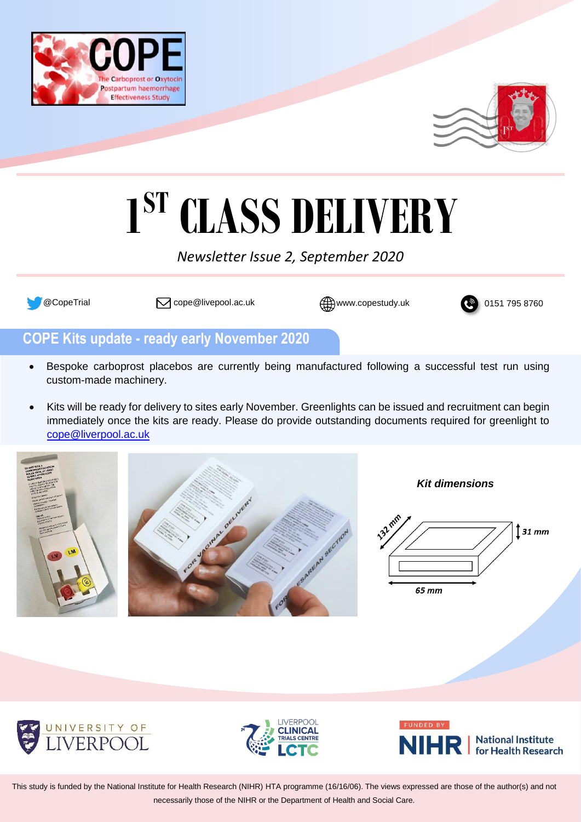



# **1 ST CLASS DELIVERY**

## *Newsletter Issue 2, September 2020*



 $\sqrt{\textdegree}$  @CopeTrial  $\Box$  cope@livepool.ac.uk  $\bigoplus$  www.copestudy.uk  $\Box$  0151 795 8760



# **COPE Kits update - ready early November 2020**

- Bespoke carboprost placebos are currently being manufactured following a successful test run using custom-made machinery.
- Kits will be ready for delivery to sites early November. Greenlights can be issued and recruitment can begin immediately once the kits are ready. Please do provide outstanding documents required for greenlight to [cope@liverpool.ac.uk](mailto:cope@liverpool.ac.uk)





*Kit dimensions*









This study is funded by the National Institute for Health Research (NIHR) HTA programme (16/16/06). The views expressed are those of the author(s) and not necessarily those of the NIHR or the Department of Health and Social Care.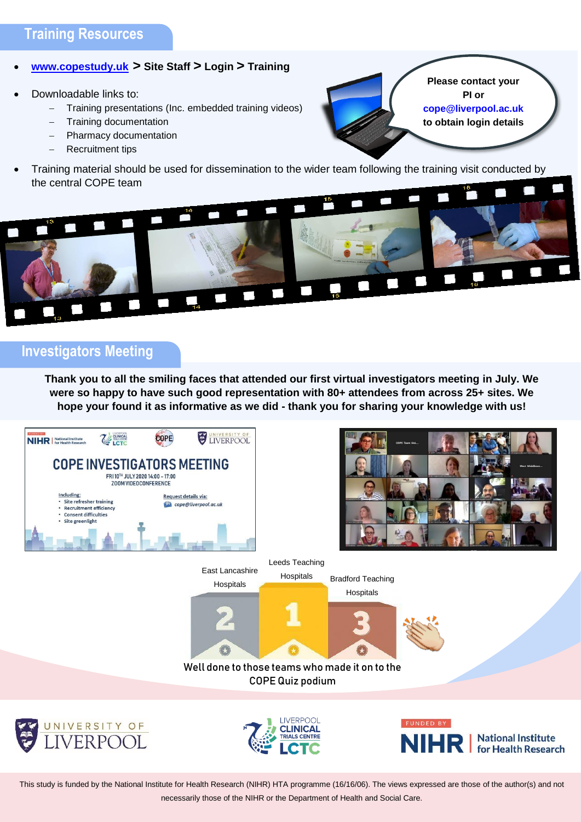#### • **[www.copestudy.uk](http://www.copestudy.uk/) > Site Staff > Login > Training**

- Downloadable links to:
	- Training presentations (Inc. embedded training videos)
	- − Training documentation
	- − Pharmacy documentation
	- − Recruitment tips
- Training material should be used for dissemination to the wider team following the training visit conducted by the central COPE team

**Please contact your PI [or](mailto:PI%20or%20cope@liverpool.ac.uk)  [cope@liverpool.ac.uk](mailto:PI%20or%20cope@liverpool.ac.uk) to obtain login details**



## **Investigators Meeting**

**Thank you to all the smiling faces that attended our first virtual investigators meeting in July. We were so happy to have such good representation with 80+ attendees from across 25+ sites. We hope your found it as informative as we did - thank you for sharing your knowledge with us!**



This study is funded by the National Institute for Health Research (NIHR) HTA programme (16/16/06). The views expressed are those of the author(s) and not necessarily those of the NIHR or the Department of Health and Social Care.